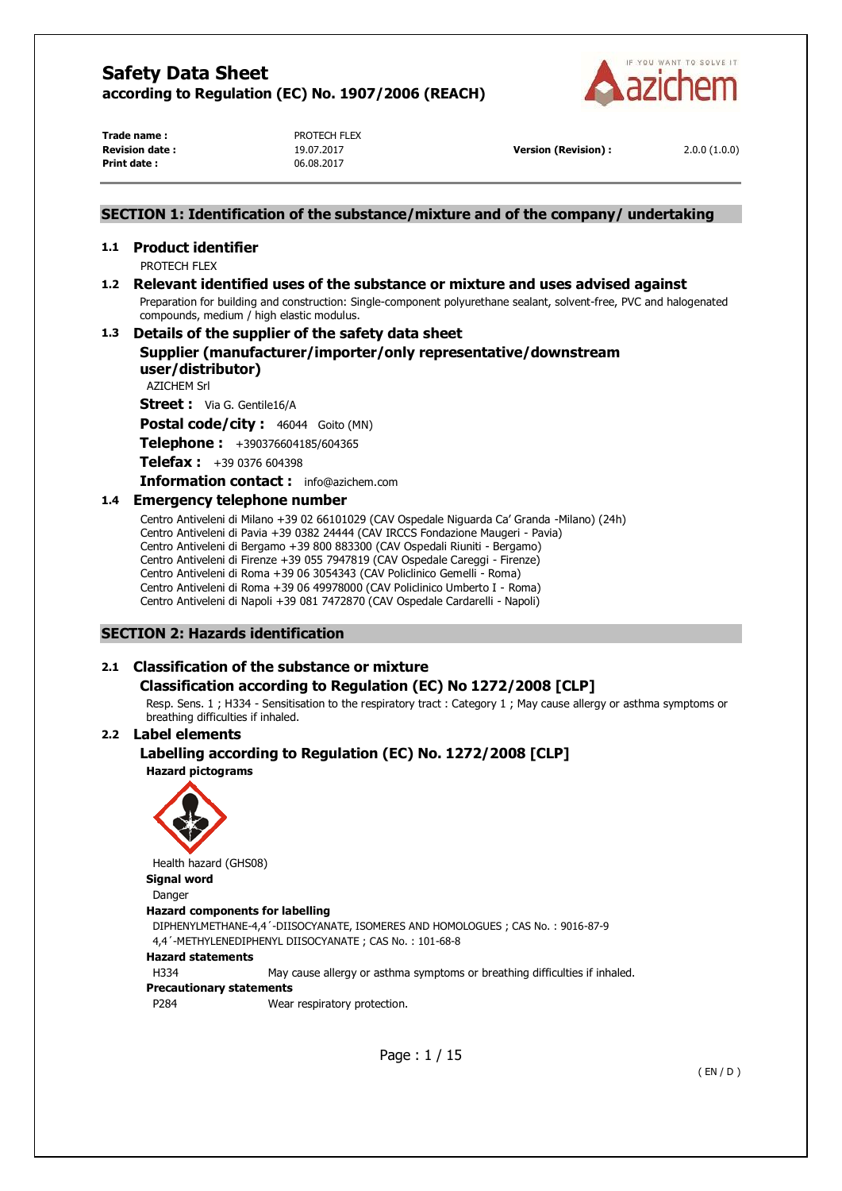

**Trade name :** PROTECH FLEX **Revision date :** 19.07.2017 **Version (Revision) :** 2.0.0 (1.0.0) **Print date :** 06.08.2017

#### **SECTION 1: Identification of the substance/mixture and of the company/ undertaking**

# **1.1 Product identifier**

PROTECH FLEX

# **1.2 Relevant identified uses of the substance or mixture and uses advised against**

Preparation for building and construction: Single-component polyurethane sealant, solvent-free, PVC and halogenated compounds, medium / high elastic modulus.

### **1.3 Details of the supplier of the safety data sheet**

**Supplier (manufacturer/importer/only representative/downstream user/distributor)** 

AZICHEM Srl

**Street :** Via G. Gentile16/A

Postal code/city : 46044 Goito (MN)

**Telephone :** +390376604185/604365

**Telefax :** +39 0376 604398

**Information contact :** info@azichem.com

#### **1.4 Emergency telephone number**

Centro Antiveleni di Milano +39 02 66101029 (CAV Ospedale Niguarda Ca' Granda -Milano) (24h) Centro Antiveleni di Pavia +39 0382 24444 (CAV IRCCS Fondazione Maugeri - Pavia) Centro Antiveleni di Bergamo +39 800 883300 (CAV Ospedali Riuniti - Bergamo) Centro Antiveleni di Firenze +39 055 7947819 (CAV Ospedale Careggi - Firenze) Centro Antiveleni di Roma +39 06 3054343 (CAV Policlinico Gemelli - Roma) Centro Antiveleni di Roma +39 06 49978000 (CAV Policlinico Umberto I - Roma) Centro Antiveleni di Napoli +39 081 7472870 (CAV Ospedale Cardarelli - Napoli)

#### **SECTION 2: Hazards identification**

### **2.1 Classification of the substance or mixture**

### **Classification according to Regulation (EC) No 1272/2008 [CLP]**

Resp. Sens. 1 ; H334 - Sensitisation to the respiratory tract : Category 1 ; May cause allergy or asthma symptoms or breathing difficulties if inhaled.

#### **2.2 Label elements**

#### **Labelling according to Regulation (EC) No. 1272/2008 [CLP] Hazard pictograms**



Health hazard (GHS08) **Signal word** 

Danger

#### **Hazard components for labelling**

DIPHENYLMETHANE-4,4´-DIISOCYANATE, ISOMERES AND HOMOLOGUES ; CAS No. : 9016-87-9 4,4´-METHYLENEDIPHENYL DIISOCYANATE ; CAS No. : 101-68-8

#### **Hazard statements**

H334 May cause allergy or asthma symptoms or breathing difficulties if inhaled.

#### **Precautionary statements**

P284 Wear respiratory protection.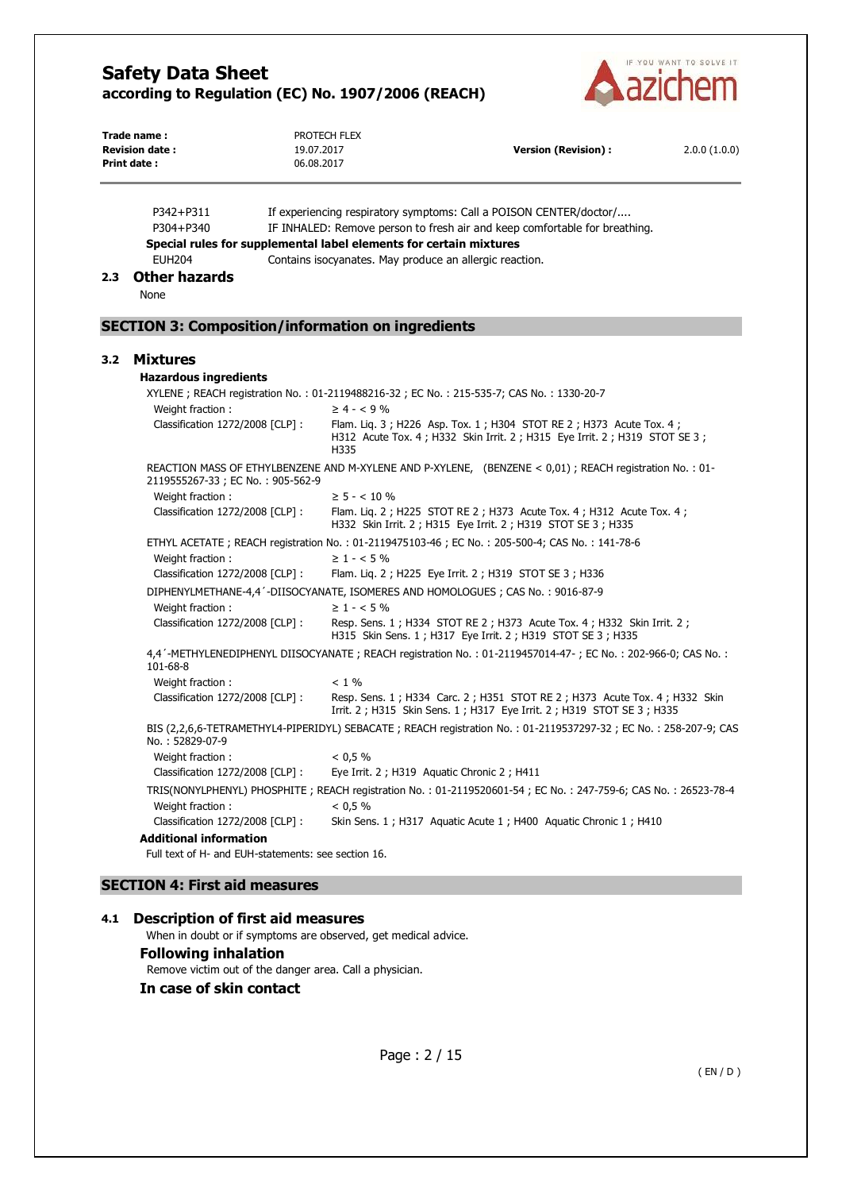

| Print date: | Trade name:<br>PROTECH FLEX<br><b>Revision date:</b><br>19.07.2017<br><b>Version (Revision):</b><br>06.08.2017 |                   | 2.0.0(1.0.0)                                                                                                                                          |  |
|-------------|----------------------------------------------------------------------------------------------------------------|-------------------|-------------------------------------------------------------------------------------------------------------------------------------------------------|--|
|             | P342+P311<br>P304+P340<br>Special rules for supplemental label elements for certain mixtures                   |                   | If experiencing respiratory symptoms: Call a POISON CENTER/doctor/<br>IF INHALED: Remove person to fresh air and keep comfortable for breathing.      |  |
|             | <b>EUH204</b>                                                                                                  |                   | Contains isocyanates. May produce an allergic reaction.                                                                                               |  |
| 2.3         | <b>Other hazards</b><br>None                                                                                   |                   |                                                                                                                                                       |  |
|             | <b>SECTION 3: Composition/information on ingredients</b>                                                       |                   |                                                                                                                                                       |  |
| 3.2         | <b>Mixtures</b>                                                                                                |                   |                                                                                                                                                       |  |
|             | <b>Hazardous ingredients</b>                                                                                   |                   |                                                                                                                                                       |  |
|             |                                                                                                                |                   | XYLENE; REACH registration No.: 01-2119488216-32; EC No.: 215-535-7; CAS No.: 1330-20-7                                                               |  |
|             | Weight fraction:                                                                                               | $\geq 4 - 59\%$   |                                                                                                                                                       |  |
|             | Classification 1272/2008 [CLP] :                                                                               | H335              | Flam. Lig. 3; H226 Asp. Tox. 1; H304 STOT RE 2; H373 Acute Tox. 4;<br>H312 Acute Tox. 4 ; H332 Skin Irrit. 2 ; H315 Eye Irrit. 2 ; H319 STOT SE 3 ;   |  |
|             | 2119555267-33; EC No.: 905-562-9                                                                               |                   | REACTION MASS OF ETHYLBENZENE AND M-XYLENE AND P-XYLENE, (BENZENE < 0,01); REACH registration No.: 01-                                                |  |
|             | Weight fraction:                                                                                               | $\geq$ 5 - < 10 % |                                                                                                                                                       |  |
|             | Classification 1272/2008 [CLP] :                                                                               |                   | Flam. Lig. 2; H225 STOT RE 2; H373 Acute Tox. 4; H312 Acute Tox. 4;<br>H332 Skin Irrit. 2 ; H315 Eye Irrit. 2 ; H319 STOT SE 3 ; H335                 |  |
|             |                                                                                                                |                   | ETHYL ACETATE; REACH registration No.: 01-2119475103-46; EC No.: 205-500-4; CAS No.: 141-78-6                                                         |  |
|             | Weight fraction :                                                                                              | $\geq 1 - 5\%$    |                                                                                                                                                       |  |
|             | Classification 1272/2008 [CLP] :                                                                               |                   | Flam. Lig. 2; H225 Eye Irrit. 2; H319 STOT SE 3; H336                                                                                                 |  |
|             |                                                                                                                |                   | DIPHENYLMETHANE-4,4 '-DIISOCYANATE, ISOMERES AND HOMOLOGUES ; CAS No. : 9016-87-9                                                                     |  |
|             | Weight fraction:<br>Classification 1272/2008 [CLP] :                                                           | $\geq 1 - 5\%$    | Resp. Sens. 1; H334 STOT RE 2; H373 Acute Tox. 4; H332 Skin Irrit. 2;<br>H315 Skin Sens. 1; H317 Eye Irrit. 2; H319 STOT SE 3; H335                   |  |
|             | 101-68-8                                                                                                       |                   | 4,4'-METHYLENEDIPHENYL DIISOCYANATE; REACH registration No.: 01-2119457014-47-; EC No.: 202-966-0; CAS No.:                                           |  |
|             | Weight fraction:                                                                                               | $< 1\%$           |                                                                                                                                                       |  |
|             | Classification 1272/2008 [CLP] :                                                                               |                   | Resp. Sens. 1; H334 Carc. 2; H351 STOT RE 2; H373 Acute Tox. 4; H332 Skin<br>Irrit. 2 ; H315 Skin Sens. 1 ; H317 Eye Irrit. 2 ; H319 STOT SE 3 ; H335 |  |
|             | No.: 52829-07-9                                                                                                |                   | BIS (2,2,6,6-TETRAMETHYL4-PIPERIDYL) SEBACATE ; REACH registration No. : 01-2119537297-32 ; EC No. : 258-207-9; CAS                                   |  |
|             | Weight fraction:                                                                                               | < 0.5 %           |                                                                                                                                                       |  |
|             | Classification 1272/2008 [CLP] :                                                                               |                   | Eye Irrit. 2; H319 Aquatic Chronic 2; H411                                                                                                            |  |
|             |                                                                                                                |                   | TRIS(NONYLPHENYL) PHOSPHITE; REACH registration No.: 01-2119520601-54; EC No.: 247-759-6; CAS No.: 26523-78-4                                         |  |
|             | Weight fraction:                                                                                               | < 0.5 %           |                                                                                                                                                       |  |
|             | Classification 1272/2008 [CLP] :                                                                               |                   | Skin Sens. 1; H317 Aquatic Acute 1; H400 Aquatic Chronic 1; H410                                                                                      |  |
|             | <b>Additional information</b><br>Full text of H- and EUH-statements: see section 16.                           |                   |                                                                                                                                                       |  |

### **SECTION 4: First aid measures**

### **4.1 Description of first aid measures**

When in doubt or if symptoms are observed, get medical advice.

### **Following inhalation**

Remove victim out of the danger area. Call a physician.

### **In case of skin contact**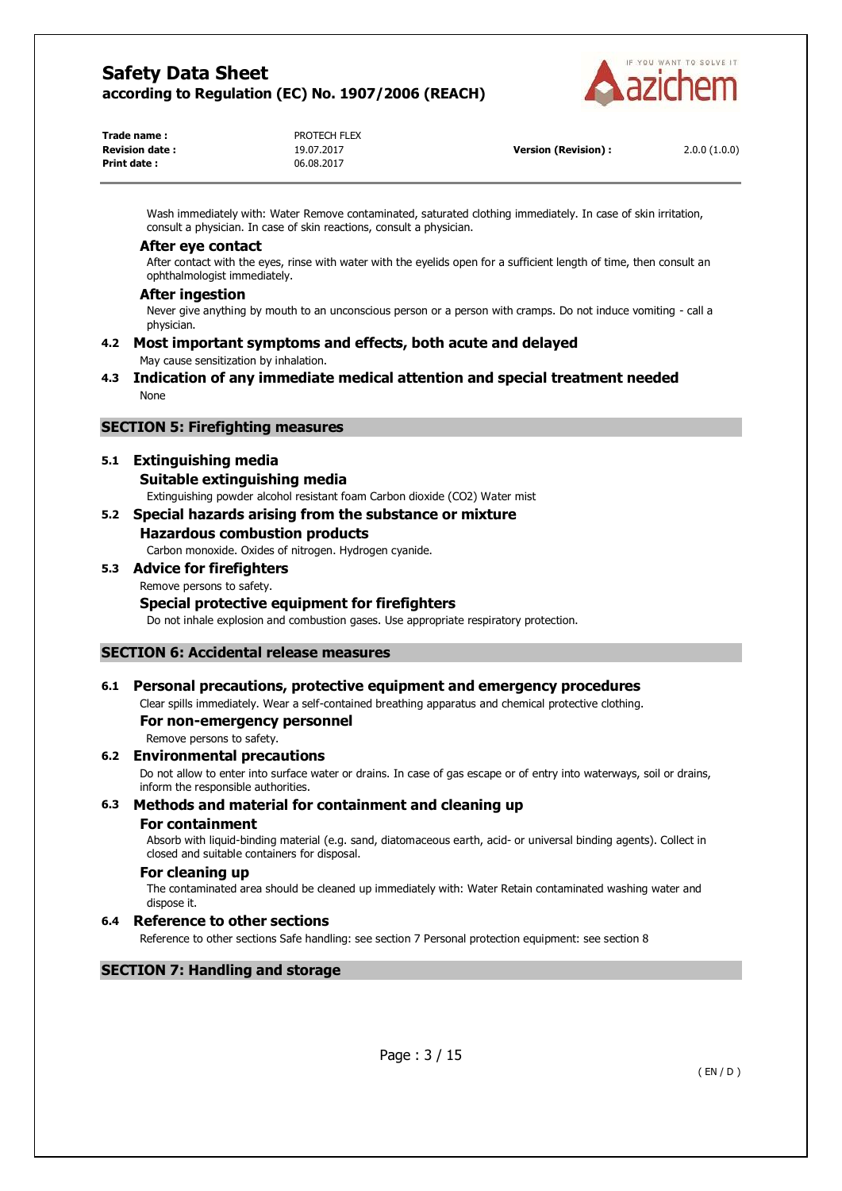

| Trade name :           | PROTECH FLEX |                            |              |
|------------------------|--------------|----------------------------|--------------|
| <b>Revision date :</b> | 19.07.2017   | <b>Version (Revision):</b> | 2.0.0(1.0.0) |
| Print date :           | 06.08.2017   |                            |              |

Wash immediately with: Water Remove contaminated, saturated clothing immediately. In case of skin irritation, consult a physician. In case of skin reactions, consult a physician.

#### **After eye contact**

After contact with the eyes, rinse with water with the eyelids open for a sufficient length of time, then consult an ophthalmologist immediately.

#### **After ingestion**

Never give anything by mouth to an unconscious person or a person with cramps. Do not induce vomiting - call a physician.

#### **4.2 Most important symptoms and effects, both acute and delayed**  May cause sensitization by inhalation.

**4.3 Indication of any immediate medical attention and special treatment needed**  None

#### **SECTION 5: Firefighting measures**

#### **5.1 Extinguishing media**

**Suitable extinguishing media** 

Extinguishing powder alcohol resistant foam Carbon dioxide (CO2) Water mist

### **5.2 Special hazards arising from the substance or mixture Hazardous combustion products**

Carbon monoxide. Oxides of nitrogen. Hydrogen cyanide.

**5.3 Advice for firefighters**  Remove persons to safety. **Special protective equipment for firefighters** 

### Do not inhale explosion and combustion gases. Use appropriate respiratory protection.

#### **SECTION 6: Accidental release measures**

### **6.1 Personal precautions, protective equipment and emergency procedures**

Clear spills immediately. Wear a self-contained breathing apparatus and chemical protective clothing.

#### **For non-emergency personnel**

Remove persons to safety.

#### **6.2 Environmental precautions**

Do not allow to enter into surface water or drains. In case of gas escape or of entry into waterways, soil or drains, inform the responsible authorities.

#### **6.3 Methods and material for containment and cleaning up**

#### **For containment**

Absorb with liquid-binding material (e.g. sand, diatomaceous earth, acid- or universal binding agents). Collect in closed and suitable containers for disposal.

#### **For cleaning up**

The contaminated area should be cleaned up immediately with: Water Retain contaminated washing water and dispose it.

#### **6.4 Reference to other sections**

Reference to other sections Safe handling: see section 7 Personal protection equipment: see section 8

### **SECTION 7: Handling and storage**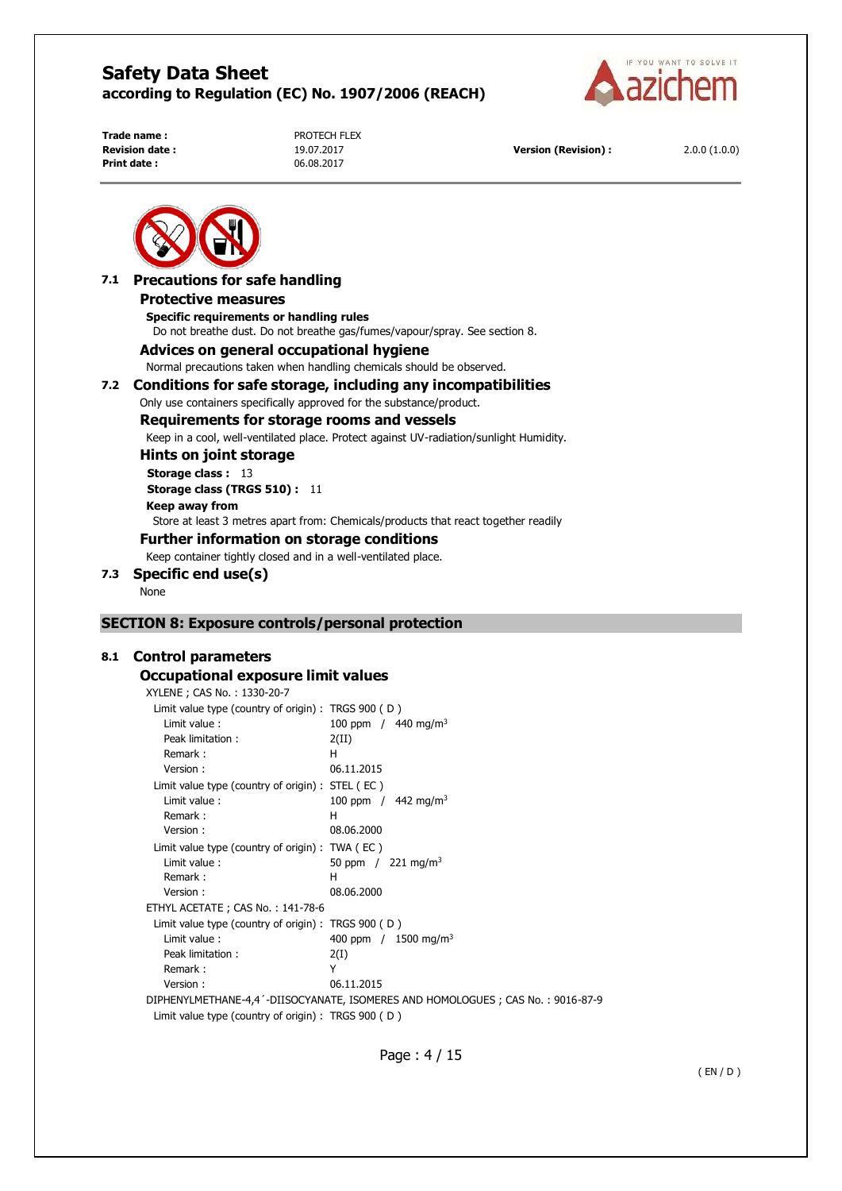

**Print date :** 06.08.2017

**Trade name :** PROTECH FLEX

**Revision date :** 19.07.2017 **Version (Revision) :** 2.0.0 (1.0.0)



### **7.1 Precautions for safe handling**

#### **Protective measures**

**Specific requirements or handling rules**  Do not breathe dust. Do not breathe gas/fumes/vapour/spray. See section 8.

#### **Advices on general occupational hygiene**

Normal precautions taken when handling chemicals should be observed.

#### **7.2 Conditions for safe storage, including any incompatibilities**

Only use containers specifically approved for the substance/product.

#### **Requirements for storage rooms and vessels**

Keep in a cool, well-ventilated place. Protect against UV-radiation/sunlight Humidity.

**Hints on joint storage** 

**Storage class : 13 Storage class (TRGS 510) :** 11 **Keep away from**  Store at least 3 metres apart from: Chemicals/products that react together readily **Further information on storage conditions** 

Keep container tightly closed and in a well-ventilated place.

### **7.3 Specific end use(s)**

None

#### **SECTION 8: Exposure controls/personal protection**

#### **8.1 Control parameters**

#### **Occupational exposure limit values**

XYLENE ; CAS No. : 1330-20-7

| Limit value type (country of origin) : TRGS $900$ (D) |                                                                                |
|-------------------------------------------------------|--------------------------------------------------------------------------------|
| Limit value:                                          | 100 ppm / $440$ mg/m <sup>3</sup>                                              |
| Peak limitation :                                     | 2(II)                                                                          |
| Remark:                                               | н                                                                              |
| Version:                                              | 06.11.2015                                                                     |
| Limit value type (country of origin) : STEL (EC)      |                                                                                |
| Limit value:                                          | 100 ppm / $442$ mg/m <sup>3</sup>                                              |
| Remark:                                               | н                                                                              |
| Version:                                              | 08.06.2000                                                                     |
| Limit value type (country of origin) : $TWA$ ( $EC$ ) |                                                                                |
| Limit value:                                          | 50 ppm $/$ 221 mg/m <sup>3</sup>                                               |
| Remark:                                               | н                                                                              |
| Version:                                              | 08.06.2000                                                                     |
| ETHYL ACETATE ; CAS No.: 141-78-6                     |                                                                                |
| Limit value type (country of origin) : TRGS $900$ (D) |                                                                                |
| Limit value:                                          | 400 ppm $/$ 1500 mg/m <sup>3</sup>                                             |
| Peak limitation :                                     | 2(I)                                                                           |
| Remark:                                               | Υ                                                                              |
| Version:                                              | 06.11.2015                                                                     |
|                                                       | DIPHENYLMETHANE-4,4'-DIISOCYANATE, ISOMERES AND HOMOLOGUES; CAS No.: 9016-87-9 |
| Limit value type (country of origin) : TRGS $900$ (D) |                                                                                |
|                                                       |                                                                                |

Page : 4 / 15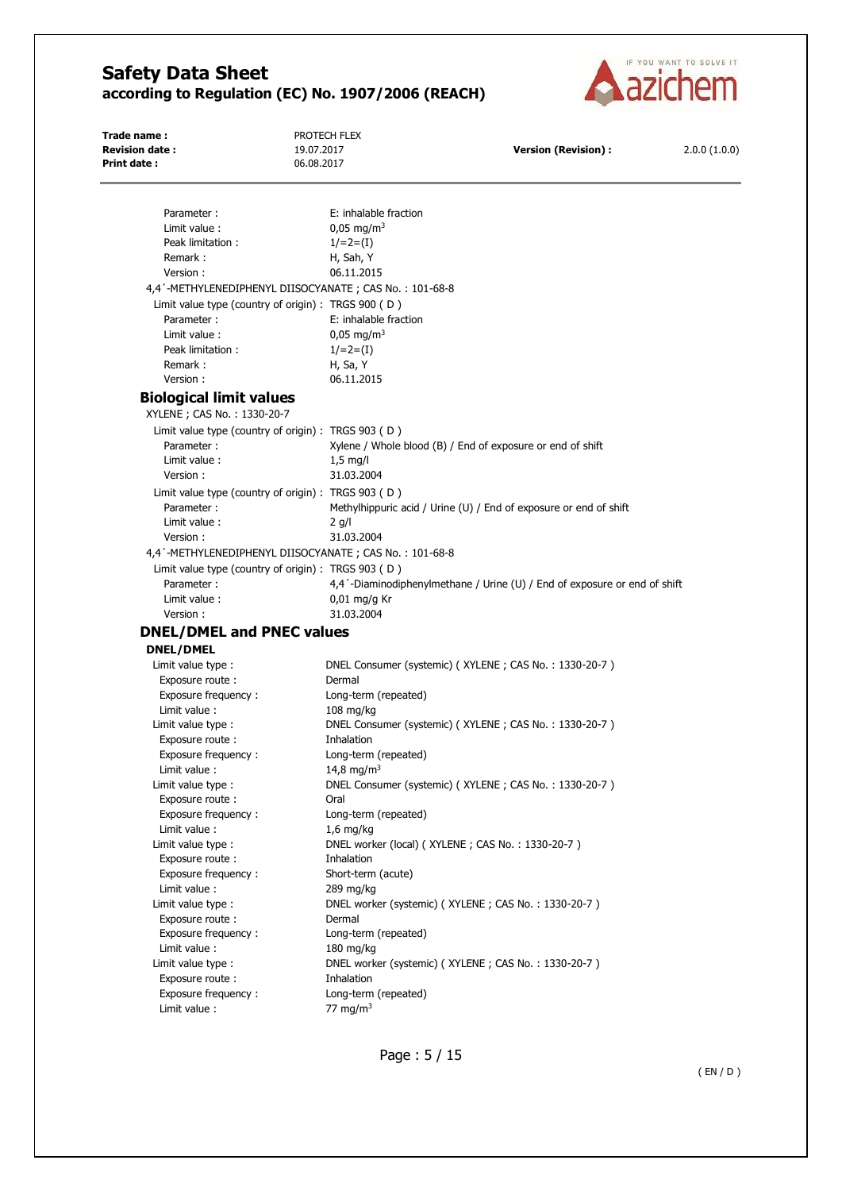

| Trade name:<br><b>Revision date:</b>                          | PROTECH FLEX<br>19.07.2017                              | <b>Version (Revision):</b>                                                | 2.0.0(1.0.0) |
|---------------------------------------------------------------|---------------------------------------------------------|---------------------------------------------------------------------------|--------------|
| Print date:                                                   | 06.08.2017                                              |                                                                           |              |
|                                                               |                                                         |                                                                           |              |
| Parameter:                                                    | E: inhalable fraction                                   |                                                                           |              |
| Limit value :                                                 | $0.05 \,\mathrm{mg/m^3}$                                |                                                                           |              |
| Peak limitation :                                             | $1/=2=(1)$                                              |                                                                           |              |
| Remark:                                                       |                                                         |                                                                           |              |
| Version:                                                      | H, Sah, Y<br>06.11.2015                                 |                                                                           |              |
|                                                               | 4,4'-METHYLENEDIPHENYL DIISOCYANATE ; CAS No.: 101-68-8 |                                                                           |              |
|                                                               | Limit value type (country of origin) : TRGS 900 (D)     |                                                                           |              |
| Parameter:                                                    | E: inhalable fraction                                   |                                                                           |              |
| Limit value:                                                  | $0,05 \text{ mg/m}^3$                                   |                                                                           |              |
| Peak limitation:                                              |                                                         |                                                                           |              |
|                                                               | $1/=2=(1)$                                              |                                                                           |              |
| Remark:                                                       | H, Sa, Y                                                |                                                                           |              |
| Version:                                                      | 06.11.2015                                              |                                                                           |              |
| <b>Biological limit values</b><br>XYLENE ; CAS No.: 1330-20-7 |                                                         |                                                                           |              |
|                                                               | Limit value type (country of origin) : TRGS $903$ (D)   |                                                                           |              |
| Parameter:                                                    |                                                         | Xylene / Whole blood (B) / End of exposure or end of shift                |              |
| Limit value:                                                  | $1,5$ mg/l                                              |                                                                           |              |
| Version:                                                      | 31.03.2004                                              |                                                                           |              |
|                                                               | Limit value type (country of origin) : TRGS 903 (D)     |                                                                           |              |
| Parameter:                                                    |                                                         | Methylhippuric acid / Urine (U) / End of exposure or end of shift         |              |
| Limit value:                                                  |                                                         |                                                                           |              |
|                                                               | $2$ g/l                                                 |                                                                           |              |
| Version:                                                      | 31.03.2004                                              |                                                                           |              |
|                                                               | 4,4'-METHYLENEDIPHENYL DIISOCYANATE; CAS No.: 101-68-8  |                                                                           |              |
|                                                               | Limit value type (country of origin) : TRGS 903 (D)     |                                                                           |              |
| Parameter:                                                    |                                                         | 4,4'-Diaminodiphenylmethane / Urine (U) / End of exposure or end of shift |              |
| Limit value :                                                 | $0.01$ mg/g Kr                                          |                                                                           |              |
| Version:                                                      | 31.03.2004                                              |                                                                           |              |
| <b>DNEL/DMEL and PNEC values</b>                              |                                                         |                                                                           |              |
| <b>DNEL/DMEL</b>                                              |                                                         |                                                                           |              |
| Limit value type :                                            |                                                         | DNEL Consumer (systemic) (XYLENE; CAS No.: 1330-20-7)                     |              |
| Exposure route :                                              | Dermal                                                  |                                                                           |              |
| Exposure frequency :                                          | Long-term (repeated)                                    |                                                                           |              |
| Limit value:                                                  | 108 mg/kg                                               |                                                                           |              |
| Limit value type :                                            |                                                         | DNEL Consumer (systemic) (XYLENE; CAS No.: 1330-20-7)                     |              |
| Exposure route :                                              | Inhalation                                              |                                                                           |              |
| Exposure frequency:                                           | Long-term (repeated)                                    |                                                                           |              |
| Limit value:                                                  | 14,8 mg/m <sup>3</sup>                                  |                                                                           |              |
| Limit value type :                                            |                                                         | DNEL Consumer (systemic) (XYLENE; CAS No.: 1330-20-7)                     |              |
| Exposure route :                                              | Oral                                                    |                                                                           |              |
| Exposure frequency:                                           | Long-term (repeated)                                    |                                                                           |              |
| Limit value :                                                 | $1,6$ mg/kg                                             |                                                                           |              |
| Limit value type :                                            |                                                         | DNEL worker (local) (XYLENE; CAS No.: 1330-20-7)                          |              |
| Exposure route :                                              | Inhalation                                              |                                                                           |              |
| Exposure frequency:                                           | Short-term (acute)                                      |                                                                           |              |
| Limit value:                                                  | 289 mg/kg                                               |                                                                           |              |
| Limit value type :                                            |                                                         | DNEL worker (systemic) (XYLENE; CAS No.: 1330-20-7)                       |              |
| Exposure route :                                              | Dermal                                                  |                                                                           |              |
| Exposure frequency:                                           | Long-term (repeated)                                    |                                                                           |              |
| Limit value :                                                 | $180$ mg/kg                                             |                                                                           |              |
| Limit value type :                                            |                                                         | DNEL worker (systemic) (XYLENE; CAS No.: 1330-20-7)                       |              |
|                                                               |                                                         |                                                                           |              |
|                                                               | Inhalation                                              |                                                                           |              |
| Exposure route:<br>Exposure frequency:                        | Long-term (repeated)                                    |                                                                           |              |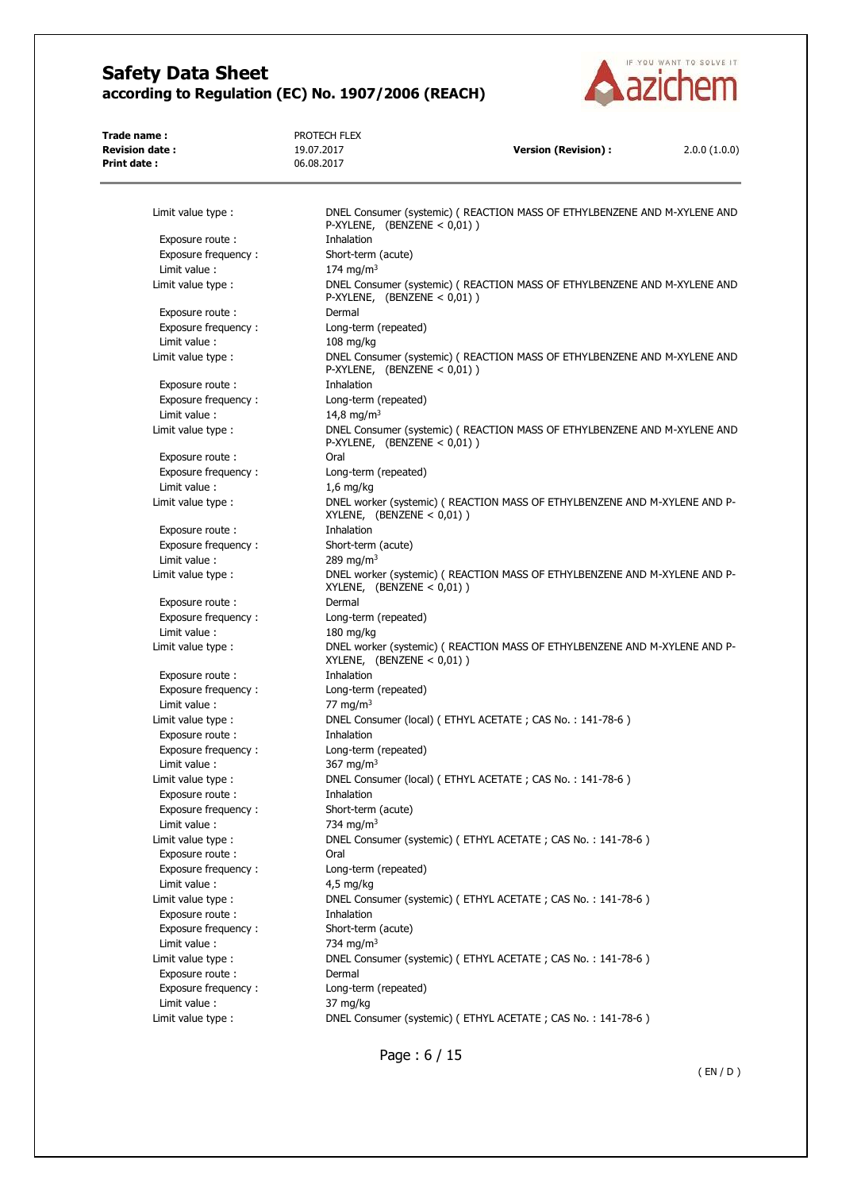

| Trade name:<br><b>Revision date:</b>   | PROTECH FLEX<br>19.07.2017                  | <b>Version (Revision):</b>                                                 | 2.0.0(1.0.0) |
|----------------------------------------|---------------------------------------------|----------------------------------------------------------------------------|--------------|
| Print date:                            | 06.08.2017                                  |                                                                            |              |
|                                        |                                             |                                                                            |              |
| Limit value type :                     | P-XYLENE, $(BENZENE < 0.01)$ )              | DNEL Consumer (systemic) ( REACTION MASS OF ETHYLBENZENE AND M-XYLENE AND  |              |
| Exposure route:                        | Inhalation                                  |                                                                            |              |
| Exposure frequency:                    | Short-term (acute)                          |                                                                            |              |
| Limit value:                           | 174 mg/m <sup>3</sup>                       |                                                                            |              |
| Limit value type :                     | P-XYLENE, $(BENZENE < 0.01)$ )              | DNEL Consumer (systemic) (REACTION MASS OF ETHYLBENZENE AND M-XYLENE AND   |              |
| Exposure route:                        | Dermal                                      |                                                                            |              |
| Exposure frequency:                    | Long-term (repeated)                        |                                                                            |              |
| Limit value:                           | $108$ mg/kg                                 |                                                                            |              |
| Limit value type :                     | P-XYLENE, $(BENZENE < 0,01)$ )              | DNEL Consumer (systemic) ( REACTION MASS OF ETHYLBENZENE AND M-XYLENE AND  |              |
| Exposure route:                        | Inhalation                                  |                                                                            |              |
| Exposure frequency:                    | Long-term (repeated)                        |                                                                            |              |
| Limit value :                          | 14,8 mg/m <sup>3</sup>                      |                                                                            |              |
| Limit value type :                     | P-XYLENE, $(BENZENE < 0,01)$ )              | DNEL Consumer (systemic) (REACTION MASS OF ETHYLBENZENE AND M-XYLENE AND   |              |
| Exposure route:                        | Oral                                        |                                                                            |              |
| Exposure frequency:                    | Long-term (repeated)                        |                                                                            |              |
| Limit value :                          | $1,6$ mg/kg                                 |                                                                            |              |
| Limit value type:                      | XYLENE, $(BENZENE < 0,01)$ )                | DNEL worker (systemic) ( REACTION MASS OF ETHYLBENZENE AND M-XYLENE AND P- |              |
| Exposure route :                       | Inhalation                                  |                                                                            |              |
| Exposure frequency:<br>Limit value:    | Short-term (acute)<br>289 mg/m <sup>3</sup> |                                                                            |              |
| Limit value type :                     | XYLENE, $(BENZENE < 0,01)$ )                | DNEL worker (systemic) ( REACTION MASS OF ETHYLBENZENE AND M-XYLENE AND P- |              |
| Exposure route:                        | Dermal                                      |                                                                            |              |
| Exposure frequency:                    | Long-term (repeated)                        |                                                                            |              |
| Limit value:                           | $180$ mg/kg                                 |                                                                            |              |
| Limit value type :                     | XYLENE, $(BENZENE < 0,01)$ )                | DNEL worker (systemic) ( REACTION MASS OF ETHYLBENZENE AND M-XYLENE AND P- |              |
| Exposure route:                        | Inhalation                                  |                                                                            |              |
| Exposure frequency:                    | Long-term (repeated)                        |                                                                            |              |
| Limit value :                          | 77 mg/m $3$                                 |                                                                            |              |
| Limit value type :                     |                                             | DNEL Consumer (local) (ETHYL ACETATE; CAS No.: 141-78-6)                   |              |
| Exposure route:                        | Inhalation                                  |                                                                            |              |
| Exposure frequency:                    | Long-term (repeated)                        |                                                                            |              |
| Limit value :                          | 367 mg/m <sup>3</sup>                       |                                                                            |              |
| Limit value type :                     |                                             | DNEL Consumer (local) (ETHYL ACETATE; CAS No.: 141-78-6)                   |              |
| Exposure route:                        | Inhalation                                  |                                                                            |              |
| Exposure frequency:                    | Short-term (acute)                          |                                                                            |              |
| Limit value :                          | 734 mg/m <sup>3</sup>                       |                                                                            |              |
| Limit value type :<br>Exposure route : | Oral                                        | DNEL Consumer (systemic) (ETHYL ACETATE; CAS No.: 141-78-6)                |              |
| Exposure frequency:                    | Long-term (repeated)                        |                                                                            |              |
| Limit value :                          | $4,5$ mg/kg                                 |                                                                            |              |
| Limit value type :                     |                                             | DNEL Consumer (systemic) (ETHYL ACETATE; CAS No.: 141-78-6)                |              |
| Exposure route:                        | Inhalation                                  |                                                                            |              |
| Exposure frequency:                    | Short-term (acute)                          |                                                                            |              |
| Limit value:                           | 734 mg/m <sup>3</sup>                       |                                                                            |              |
| Limit value type :                     |                                             | DNEL Consumer (systemic) (ETHYL ACETATE; CAS No.: 141-78-6)                |              |
| Exposure route:                        | Dermal                                      |                                                                            |              |
| Exposure frequency:                    | Long-term (repeated)                        |                                                                            |              |
| Limit value :                          | 37 mg/kg                                    |                                                                            |              |
| Limit value type :                     |                                             | DNEL Consumer (systemic) (ETHYL ACETATE; CAS No.: 141-78-6)                |              |

Page : 6 / 15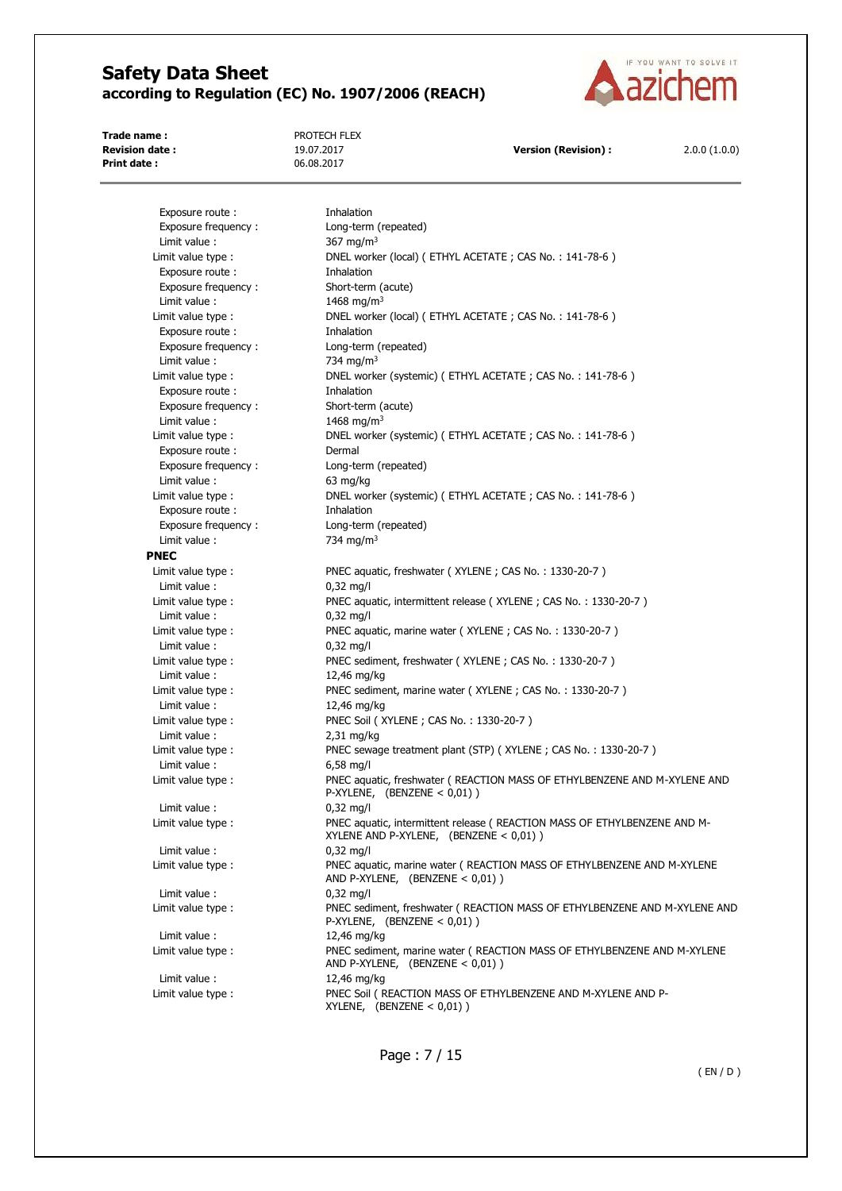

**Trade name :** PROTECH FLEX **Print date :** 06.08.2017

**Revision date :** 19.07.2017 **Version (Revision) :** 2.0.0 (1.0.0)

Exposure route : Thhalation Exposure frequency : Long-term (repeated) Limit value :  $367 \text{ mg/m}^3$ Limit value type : DNEL worker (local) ( ETHYL ACETATE ; CAS No. : 141-78-6 ) Exposure route : Thhalation Exposure frequency : Short-term (acute) Limit value : 1468 mg/m<sup>3</sup> Limit value type : DNEL worker (local) (ETHYL ACETATE ; CAS No. : 141-78-6) Exposure route : Thing inhalation Exposure frequency : Long-term (repeated) Limit value : 734 mg/m<sup>3</sup> Limit value type : <br>
DNEL worker (systemic) (ETHYL ACETATE ; CAS No. : 141-78-6) Exposure route : Thinking the Inhalation Exposure frequency : Short-term (acute) Limit value :  $1468 \text{ mg/m}^3$ Limit value type : <br>
DNEL worker (systemic) ( ETHYL ACETATE ; CAS No. : 141-78-6 ) Exposure route : Dermal Exposure frequency : Long-term (repeated) Limit value : 63 mg/kg Limit value type : DNEL worker (systemic) ( ETHYL ACETATE ; CAS No. : 141-78-6 ) Exposure route : Thhalation Exposure frequency : Long-term (repeated) Limit value :  $734 \text{ ma/m}^3$ **PNEC**  Limit value type : PNEC aquatic, freshwater (XYLENE ; CAS No. : 1330-20-7) Limit value : 0,32 mg/l Limit value type : PNEC aquatic, intermittent release (XYLENE ; CAS No. : 1330-20-7 ) Limit value : 0,32 mg/l Limit value type : PNEC aquatic, marine water (XYLENE ; CAS No. : 1330-20-7) Limit value : 0,32 mg/l Limit value type : PNEC sediment, freshwater (XYLENE ; CAS No. : 1330-20-7) Limit value : 12,46 mg/kg Limit value type : PNEC sediment, marine water ( XYLENE ; CAS No. : 1330-20-7 ) Limit value : 12,46 mg/kg Limit value type : PNEC Soil (XYLENE ; CAS No. : 1330-20-7) Limit value : 2,31 mg/kg Limit value type : PNEC sewage treatment plant (STP) ( XYLENE ; CAS No. : 1330-20-7 ) Limit value : 6,58 mg/l Limit value type : PNEC aquatic, freshwater ( REACTION MASS OF ETHYLBENZENE AND M-XYLENE AND P-XYLENE, (BENZENE < 0,01) ) Limit value : 0,32 mg/l Limit value type : PNEC aquatic, intermittent release ( REACTION MASS OF ETHYLBENZENE AND M-XYLENE AND P-XYLENE, (BENZENE < 0,01) ) Limit value : 0,32 mg/l Limit value type : PNEC aquatic, marine water ( REACTION MASS OF ETHYLBENZENE AND M-XYLENE AND P-XYLENE, (BENZENE < 0,01) ) Limit value : 0,32 mg/l Limit value type : PNEC sediment, freshwater ( REACTION MASS OF ETHYLBENZENE AND M-XYLENE AND P-XYLENE, (BENZENE < 0,01) ) Limit value : 12,46 mg/kg Limit value type : PNEC sediment, marine water ( REACTION MASS OF ETHYLBENZENE AND M-XYLENE AND P-XYLENE, (BENZENE < 0,01) ) Limit value : 12,46 mg/kg Limit value type : PNEC Soil ( REACTION MASS OF ETHYLBENZENE AND M-XYLENE AND P-XYLENE, (BENZENE < 0,01) )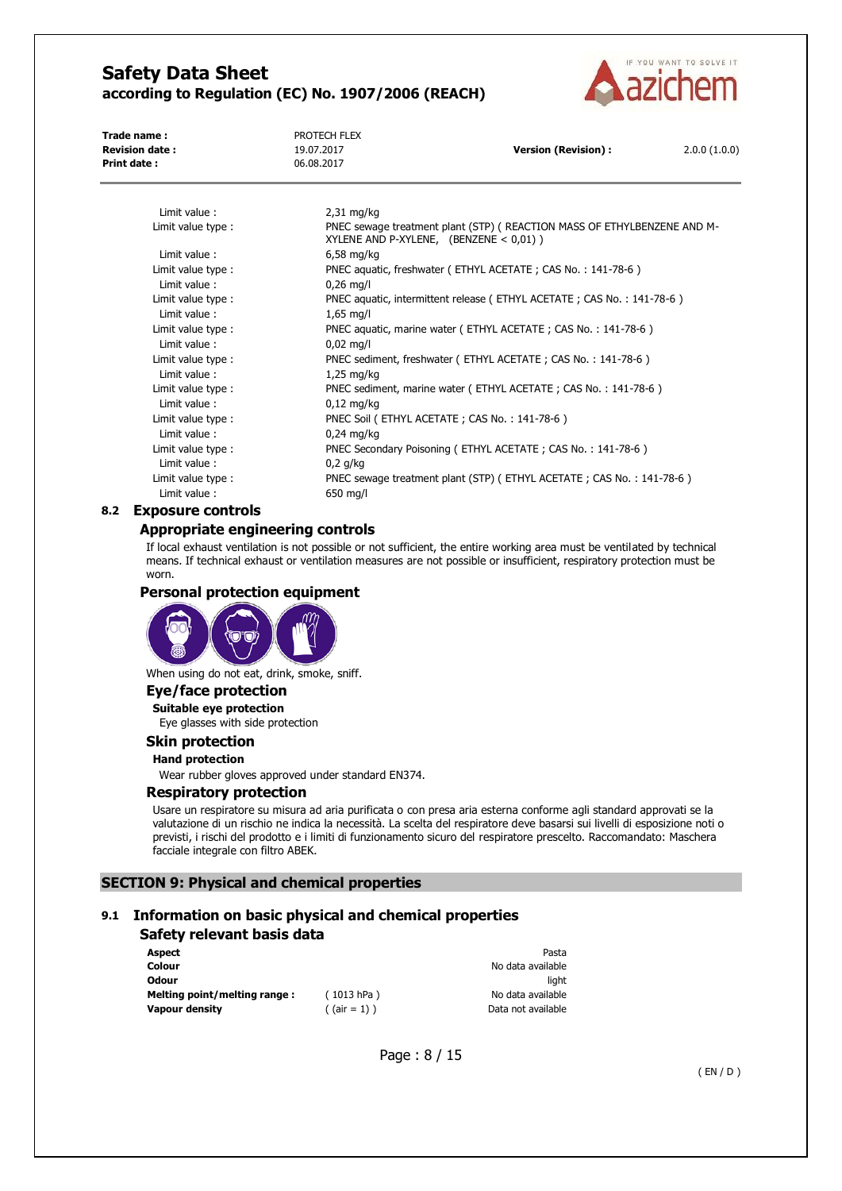

**Trade name :** PROTECH FLEX **Print date :** 06.08.2017

**Revision date :** 19.07.2017 **Version (Revision) :** 2.0.0 (1.0.0)

| Limit value:       | $2,31$ mg/kg                                                                                                          |
|--------------------|-----------------------------------------------------------------------------------------------------------------------|
| Limit value type : | PNEC sewage treatment plant (STP) ( REACTION MASS OF ETHYLBENZENE AND M-<br>XYLENE AND P-XYLENE, (BENZENE $< 0.01$ )) |
| Limit value:       | $6,58$ mg/kg                                                                                                          |
| Limit value type:  | PNEC aquatic, freshwater (ETHYL ACETATE; CAS No.: 141-78-6)                                                           |
| Limit value:       | $0,26$ mg/l                                                                                                           |
| Limit value type:  | PNEC aquatic, intermittent release (ETHYL ACETATE; CAS No.: 141-78-6)                                                 |
| Limit value:       | $1,65 \text{ mg/l}$                                                                                                   |
| Limit value type : | PNEC aquatic, marine water (ETHYL ACETATE; CAS No.: 141-78-6)                                                         |
| Limit value:       | $0,02$ mg/l                                                                                                           |
| Limit value type : | PNEC sediment, freshwater (ETHYL ACETATE; CAS No.: 141-78-6)                                                          |
| Limit value:       | $1,25$ mg/kg                                                                                                          |
| Limit value type:  | PNEC sediment, marine water (ETHYL ACETATE; CAS No.: 141-78-6)                                                        |
| Limit value:       | $0,12 \text{ mg/kg}$                                                                                                  |
| Limit value type:  | PNEC Soil (ETHYL ACETATE; CAS No.: 141-78-6)                                                                          |
| Limit value:       | $0.24$ mg/kg                                                                                                          |
| Limit value type:  | PNEC Secondary Poisoning (ETHYL ACETATE; CAS No.: 141-78-6)                                                           |
| Limit value:       | $0.2$ g/kg                                                                                                            |
| Limit value type : | PNEC sewage treatment plant (STP) (ETHYL ACETATE; CAS No.: 141-78-6)                                                  |
| Limit value:       | 650 mg/l                                                                                                              |

#### **8.2 Exposure controls**

#### **Appropriate engineering controls**

If local exhaust ventilation is not possible or not sufficient, the entire working area must be ventilated by technical means. If technical exhaust or ventilation measures are not possible or insufficient, respiratory protection must be worn.

#### **Personal protection equipment**



When using do not eat, drink, smoke, sniff.

### **Eye/face protection**

**Suitable eye protection**  Eye glasses with side protection

# **Skin protection**

# **Hand protection**

Wear rubber gloves approved under standard EN374.

#### **Respiratory protection**

Usare un respiratore su misura ad aria purificata o con presa aria esterna conforme agli standard approvati se la valutazione di un rischio ne indica la necessità. La scelta del respiratore deve basarsi sui livelli di esposizione noti o previsti, i rischi del prodotto e i limiti di funzionamento sicuro del respiratore prescelto. Raccomandato: Maschera facciale integrale con filtro ABEK.

#### **SECTION 9: Physical and chemical properties**

# **9.1 Information on basic physical and chemical properties**

#### **Safety relevant basis data**

| Aspect                        |                 | Pasta              |
|-------------------------------|-----------------|--------------------|
| Colour                        |                 | No data available  |
| Odour                         |                 | liaht              |
| Melting point/melting range : | (1013 hPa)      | No data available  |
| Vapour density                | $($ (air = 1) ) | Data not available |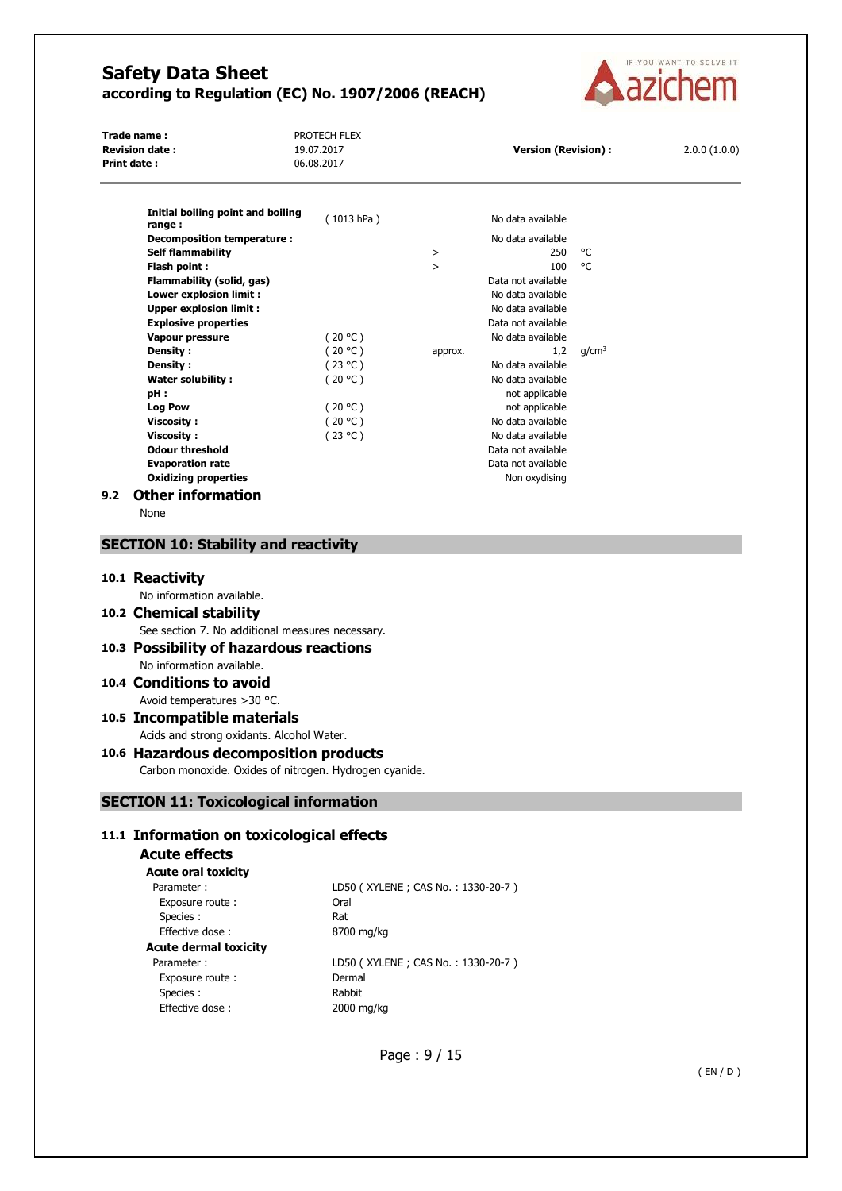

**Trade name :** PROTECH FLEX **Revision date :** 19.07.2017 **Version (Revision) :** 2.0.0 (1.0.0)<br>**Print date :** 06.08.2017 **19.07.2017 Version (Revision) :** 2.0.0 (1.0.0) **Print date :** 

| Initial boiling point and boiling<br>range: | (1013 hPa) |         | No data available  |                   |
|---------------------------------------------|------------|---------|--------------------|-------------------|
| Decomposition temperature :                 |            |         | No data available  |                   |
| <b>Self flammability</b>                    |            | $\geq$  | 250                | °C                |
| Flash point:                                |            | $\geq$  | 100                | °C                |
| Flammability (solid, gas)                   |            |         | Data not available |                   |
| Lower explosion limit :                     |            |         | No data available  |                   |
| <b>Upper explosion limit:</b>               |            |         | No data available  |                   |
| <b>Explosive properties</b>                 |            |         | Data not available |                   |
| Vapour pressure                             | (20 °C)    |         | No data available  |                   |
| <b>Density:</b>                             | (20 °C)    | approx. | 1,2                | q/cm <sup>3</sup> |
| Density:                                    | (23 °C)    |         | No data available  |                   |
| Water solubility:                           | (20 °C)    |         | No data available  |                   |
| pH:                                         |            |         | not applicable     |                   |
| <b>Log Pow</b>                              | (20 °C)    |         | not applicable     |                   |
| Viscosity:                                  | (20 °C)    |         | No data available  |                   |
| Viscosity:                                  | (23 °C)    |         | No data available  |                   |
| <b>Odour threshold</b>                      |            |         | Data not available |                   |
| <b>Evaporation rate</b>                     |            |         | Data not available |                   |
| <b>Oxidizing properties</b>                 |            |         | Non oxydising      |                   |
| <b>Other information</b><br>9.2             |            |         |                    |                   |

None

### **SECTION 10: Stability and reactivity**

#### **10.1 Reactivity**

| No information available.                        |
|--------------------------------------------------|
| 10.2 Chemical stability                          |
| See section 7. No additional measures necessary. |
| 10.3 Possibility of hazardous reactions          |
| No information available.                        |

#### **10.4 Conditions to avoid**  Avoid temperatures >30 °C.

**10.5 Incompatible materials**  Acids and strong oxidants. Alcohol Water.

### **10.6 Hazardous decomposition products**  Carbon monoxide. Oxides of nitrogen. Hydrogen cyanide.

# **SECTION 11: Toxicological information**

#### **11.1 Information on toxicological effects**

| Acute effects<br><b>Acute oral toxicity</b> |                                   |
|---------------------------------------------|-----------------------------------|
| Parameter:                                  | LD50 (XYLENE; CAS No.: 1330-20-7) |
| Exposure route:                             | Oral                              |
| Species :                                   | Rat                               |
| <b>Effective dose:</b>                      | 8700 mg/kg                        |
| Acute dermal toxicity                       |                                   |
| Parameter:                                  | LD50 (XYLENE; CAS No.: 1330-20-7) |
| Exposure route:                             | Dermal                            |
| Species :                                   | Rabbit                            |
| Effective dose:                             | 2000 mg/kg                        |
|                                             |                                   |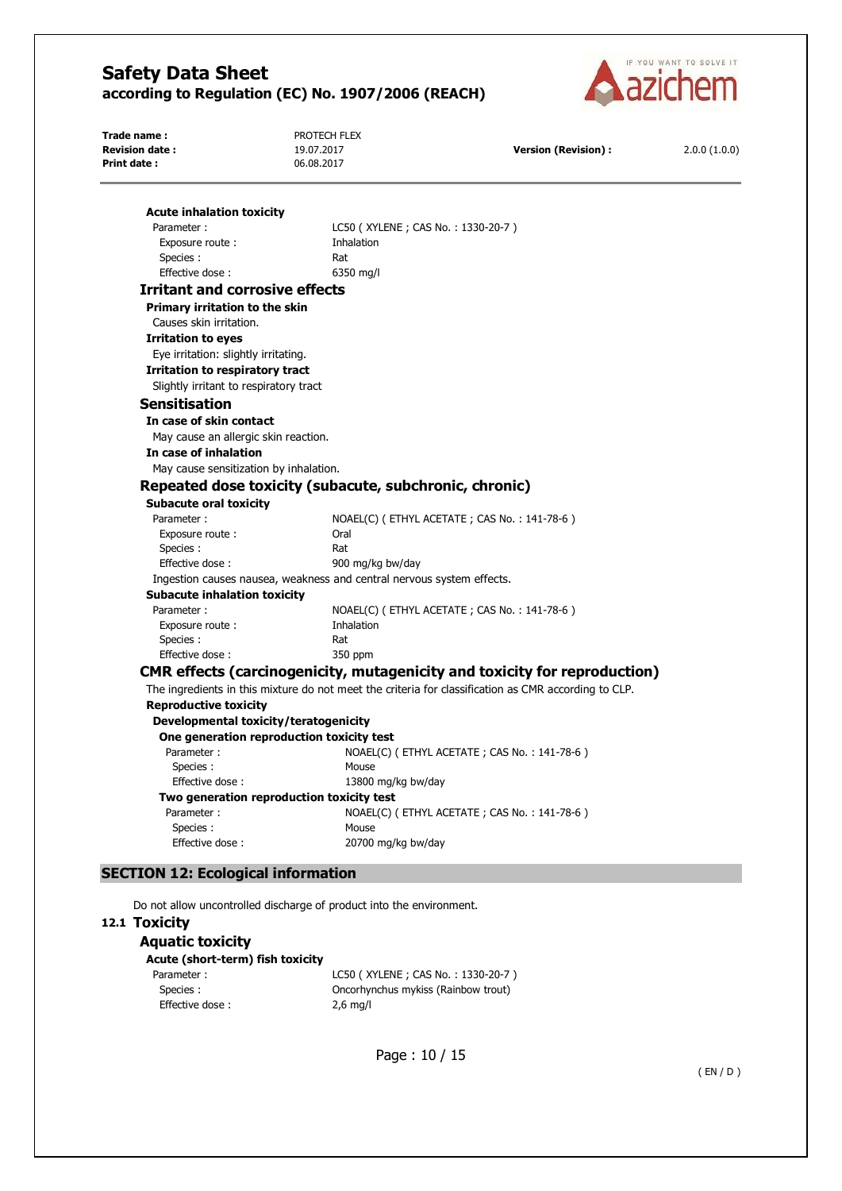

| Trade name:                            | PROTECH FLEX                                                          |                                                                                                      |              |
|----------------------------------------|-----------------------------------------------------------------------|------------------------------------------------------------------------------------------------------|--------------|
| <b>Revision date:</b>                  | 19.07.2017                                                            | <b>Version (Revision):</b>                                                                           | 2.0.0(1.0.0) |
| Print date:                            | 06.08.2017                                                            |                                                                                                      |              |
|                                        |                                                                       |                                                                                                      |              |
| <b>Acute inhalation toxicity</b>       |                                                                       |                                                                                                      |              |
| Parameter:                             | LC50 (XYLENE; CAS No.: 1330-20-7)                                     |                                                                                                      |              |
| Exposure route:                        | Inhalation                                                            |                                                                                                      |              |
| Species :                              | Rat                                                                   |                                                                                                      |              |
| Effective dose:                        | 6350 mg/l                                                             |                                                                                                      |              |
| <b>Irritant and corrosive effects</b>  |                                                                       |                                                                                                      |              |
| Primary irritation to the skin         |                                                                       |                                                                                                      |              |
| Causes skin irritation.                |                                                                       |                                                                                                      |              |
| <b>Irritation to eyes</b>              |                                                                       |                                                                                                      |              |
| Eye irritation: slightly irritating.   |                                                                       |                                                                                                      |              |
| Irritation to respiratory tract        |                                                                       |                                                                                                      |              |
| Slightly irritant to respiratory tract |                                                                       |                                                                                                      |              |
| <b>Sensitisation</b>                   |                                                                       |                                                                                                      |              |
| In case of skin contact                |                                                                       |                                                                                                      |              |
| May cause an allergic skin reaction.   |                                                                       |                                                                                                      |              |
| In case of inhalation                  |                                                                       |                                                                                                      |              |
| May cause sensitization by inhalation. |                                                                       |                                                                                                      |              |
|                                        |                                                                       |                                                                                                      |              |
|                                        | Repeated dose toxicity (subacute, subchronic, chronic)                |                                                                                                      |              |
| <b>Subacute oral toxicity</b>          |                                                                       |                                                                                                      |              |
| Parameter:                             |                                                                       | NOAEL(C) ( ETHYL ACETATE ; CAS No. : 141-78-6 )                                                      |              |
| Exposure route :                       | Oral                                                                  |                                                                                                      |              |
| Species :                              | Rat                                                                   |                                                                                                      |              |
| Effective dose:                        | 900 mg/kg bw/day                                                      |                                                                                                      |              |
|                                        | Ingestion causes nausea, weakness and central nervous system effects. |                                                                                                      |              |
| <b>Subacute inhalation toxicity</b>    |                                                                       |                                                                                                      |              |
| Parameter:                             |                                                                       | NOAEL(C) (ETHYL ACETATE; CAS No.: 141-78-6)                                                          |              |
| Exposure route:                        | Inhalation                                                            |                                                                                                      |              |
| Species :                              | Rat                                                                   |                                                                                                      |              |
| Effective dose:                        | 350 ppm                                                               |                                                                                                      |              |
|                                        |                                                                       | <b>CMR effects (carcinogenicity, mutagenicity and toxicity for reproduction)</b>                     |              |
|                                        |                                                                       | The ingredients in this mixture do not meet the criteria for classification as CMR according to CLP. |              |
| <b>Reproductive toxicity</b>           |                                                                       |                                                                                                      |              |
| Developmental toxicity/teratogenicity  |                                                                       |                                                                                                      |              |
|                                        | One generation reproduction toxicity test                             |                                                                                                      |              |
| Parameter:                             |                                                                       | NOAEL(C) (ETHYL ACETATE; CAS No.: 141-78-6)                                                          |              |
| Species :                              | Mouse                                                                 |                                                                                                      |              |
| Effective dose:                        | 13800 mg/kg bw/day                                                    |                                                                                                      |              |
|                                        | Two generation reproduction toxicity test                             |                                                                                                      |              |
| Parameter:                             |                                                                       | NOAEL(C) (ETHYL ACETATE; CAS No.: 141-78-6)                                                          |              |
| Species:                               | Mouse                                                                 |                                                                                                      |              |
| Effective dose:                        | 20700 mg/kg bw/day                                                    |                                                                                                      |              |

### **SECTION 12: Ecological information**

Do not allow uncontrolled discharge of product into the environment.

### **12.1 Toxicity**

| <b>Aquatic toxicity</b> |
|-------------------------|
|-------------------------|

**Acute (short-term) fish toxicity**  Parameter : LC50 (XYLENE ; CAS No. : 1330-20-7 ) Species : Oncorhynchus mykiss (Rainbow trout) Effective dose : 2,6 mg/l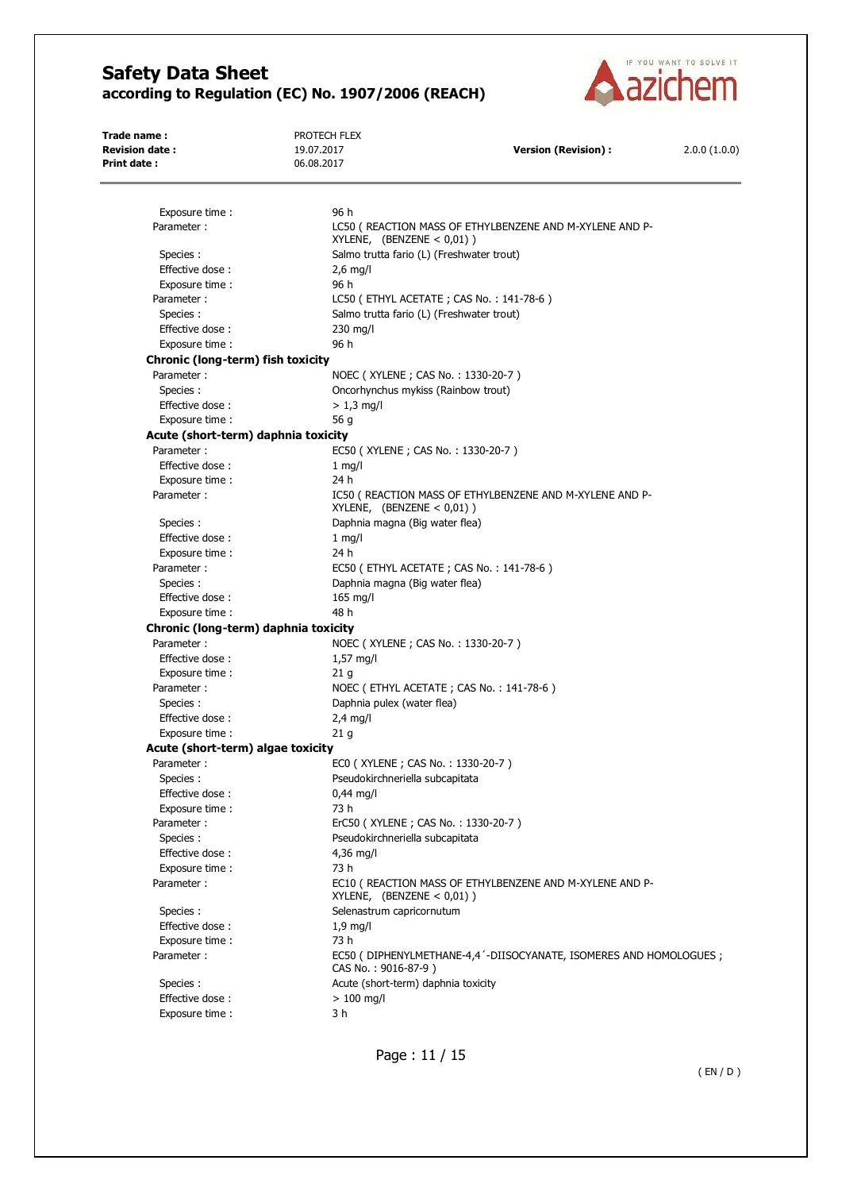

**Trade name :** PROTECH FLEX **Revision date :** 19.07.2017 **Version (Revision) :** 2.0.0 (1.0.0) **Print date :** 06.08.2017 Exposure time : 96 h Parameter : LC50 ( REACTION MASS OF ETHYLBENZENE AND M-XYLENE AND P-XYLENE, (BENZENE < 0,01) ) Species : Species : Salmo trutta fario (L) (Freshwater trout) Effective dose : 2,6 mg/l Exposure time : 96 h Parameter : LC50 (ETHYL ACETATE ; CAS No. : 141-78-6) Species : Salmo trutta fario (L) (Freshwater trout) Effective dose : 230 mg/l Exposure time : 96 h **Chronic (long-term) fish toxicity**  Parameter : NOEC ( XYLENE ; CAS No. : 1330-20-7 ) Species : Oncorhynchus mykiss (Rainbow trout) Effective dose :  $> 1.3$  mg/l Exposure time : 56 g **Acute (short-term) daphnia toxicity**  Parameter : EC50 ( XYLENE ; CAS No. : 1330-20-7 ) Effective dose : 1 mg/l Exposure time : 24 h Parameter :  $IC50$  ( REACTION MASS OF ETHYLBENZENE AND M-XYLENE AND P-XYLENE, (BENZENE < 0,01) ) Species : Daphnia magna (Big water flea) Effective dose : 1 mg/l Exposure time : 24 h Parameter : EC50 ( ETHYL ACETATE : CAS No. : 141-78-6 ) Species : Daphnia magna (Big water flea) Effective dose : 165 mg/l Exposure time : 48 h **Chronic (long-term) daphnia toxicity**  Parameter : NOEC ( XYLENE ; CAS No. : 1330-20-7 ) Effective dose : 1,57 mg/l Exposure time : 21 g Parameter : NOEC (ETHYL ACETATE ; CAS No. : 141-78-6 ) Species : Daphnia pulex (water flea) Effective dose : 2,4 mg/l Exposure time : 21 g **Acute (short-term) algae toxicity**  Parameter : ECO ( XYLENE ; CAS No. : 1330-20-7 ) Species : Pseudokirchneriella subcapitata Effective dose : 0,44 mg/l Exposure time : 73 h Parameter : ErC50 (XYLENE ; CAS No. : 1330-20-7 ) Species : Pseudokirchneriella subcapitata Effective dose : 4,36 mg/l Exposure time : 73 h Parameter : EC10 ( REACTION MASS OF ETHYLBENZENE AND M-XYLENE AND P-XYLENE, (BENZENE < 0,01) ) Species : Species : Selenastrum capricornutum Effective dose : 1.9 mg/l Exposure time : 73 h Parameter : EC50 ( DIPHENYLMETHANE-4,4'-DIISOCYANATE, ISOMERES AND HOMOLOGUES ; CAS No. : 9016-87-9 ) Species : <br>
Acute (short-term) daphnia toxicity Effective dose :  $> 100$  mg/l Exposure time : 3 h

Page : 11 / 15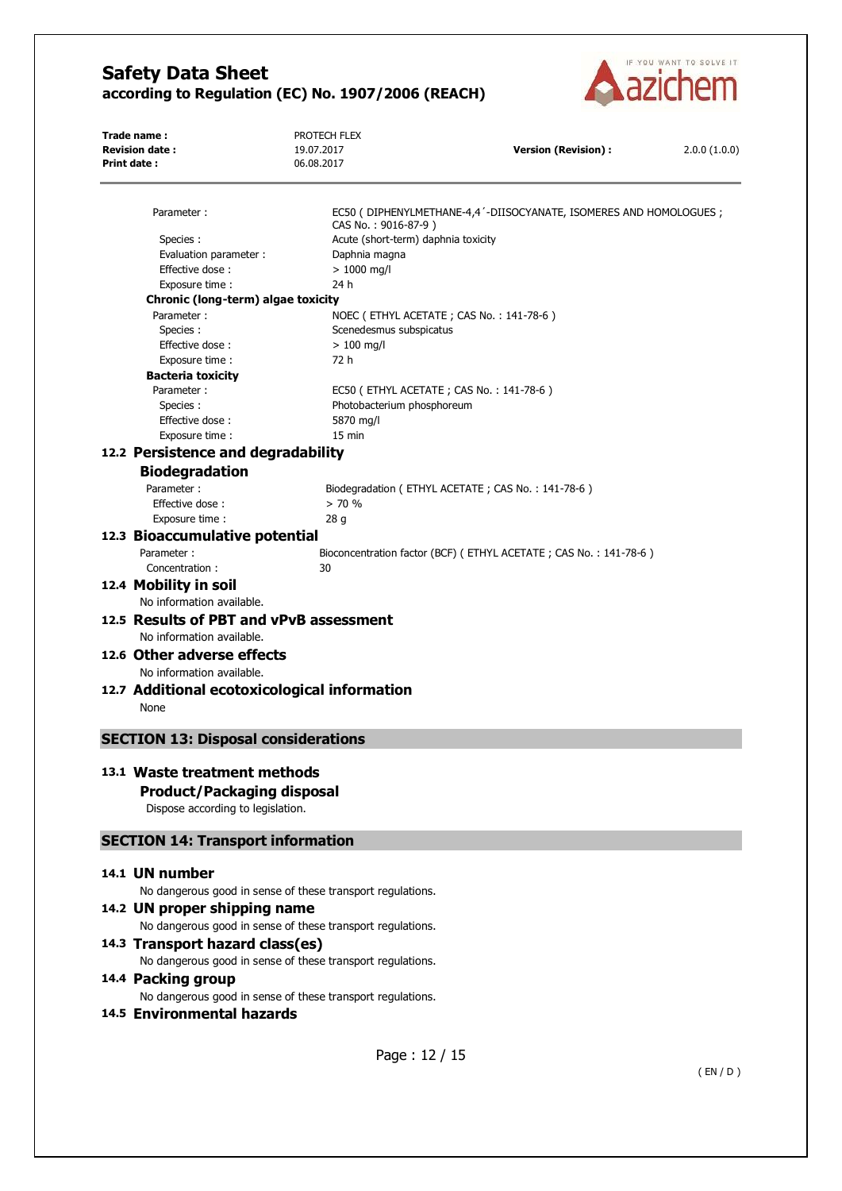

| Trade name:                                  | PROTECH FLEX                                               |                                                                      |              |
|----------------------------------------------|------------------------------------------------------------|----------------------------------------------------------------------|--------------|
| <b>Revision date:</b><br><b>Print date:</b>  | 19.07.2017<br>06.08.2017                                   | <b>Version (Revision):</b>                                           | 2.0.0(1.0.0) |
|                                              |                                                            |                                                                      |              |
|                                              |                                                            |                                                                      |              |
| Parameter:                                   | CAS No.: 9016-87-9)                                        | EC50 ( DIPHENYLMETHANE-4,4 '-DIISOCYANATE, ISOMERES AND HOMOLOGUES ; |              |
| Species:                                     | Acute (short-term) daphnia toxicity                        |                                                                      |              |
| Evaluation parameter :                       | Daphnia magna                                              |                                                                      |              |
| Effective dose:                              | $> 1000$ mg/l                                              |                                                                      |              |
| Exposure time :                              | 24 h                                                       |                                                                      |              |
| Chronic (long-term) algae toxicity           |                                                            |                                                                      |              |
| Parameter:                                   |                                                            | NOEC (ETHYL ACETATE; CAS No.: 141-78-6)                              |              |
| Species:                                     | Scenedesmus subspicatus                                    |                                                                      |              |
| Effective dose:                              | $> 100$ mg/l                                               |                                                                      |              |
| Exposure time :                              | 72 h                                                       |                                                                      |              |
| <b>Bacteria toxicity</b>                     |                                                            |                                                                      |              |
| Parameter:                                   |                                                            | EC50 (ETHYL ACETATE; CAS No.: 141-78-6)                              |              |
| Species:                                     | Photobacterium phosphoreum                                 |                                                                      |              |
| Effective dose:                              | 5870 mg/l                                                  |                                                                      |              |
| Exposure time :                              | 15 min                                                     |                                                                      |              |
| 12.2 Persistence and degradability           |                                                            |                                                                      |              |
| <b>Biodegradation</b>                        |                                                            |                                                                      |              |
| Parameter:                                   |                                                            | Biodegradation (ETHYL ACETATE; CAS No.: 141-78-6)                    |              |
| Effective dose:                              | > 70%                                                      |                                                                      |              |
| Exposure time:                               | 28q                                                        |                                                                      |              |
| 12.3 Bioaccumulative potential               |                                                            |                                                                      |              |
| Parameter:                                   |                                                            |                                                                      |              |
|                                              |                                                            | Bioconcentration factor (BCF) (ETHYL ACETATE; CAS No.: 141-78-6)     |              |
| Concentration:                               | 30                                                         |                                                                      |              |
| 12.4 Mobility in soil                        |                                                            |                                                                      |              |
| No information available.                    |                                                            |                                                                      |              |
| 12.5 Results of PBT and vPvB assessment      |                                                            |                                                                      |              |
| No information available.                    |                                                            |                                                                      |              |
| 12.6 Other adverse effects                   |                                                            |                                                                      |              |
| No information available.                    |                                                            |                                                                      |              |
| 12.7 Additional ecotoxicological information |                                                            |                                                                      |              |
|                                              |                                                            |                                                                      |              |
| None                                         |                                                            |                                                                      |              |
| <b>SECTION 13: Disposal considerations</b>   |                                                            |                                                                      |              |
|                                              |                                                            |                                                                      |              |
| 13.1 Waste treatment methods                 |                                                            |                                                                      |              |
| <b>Product/Packaging disposal</b>            |                                                            |                                                                      |              |
| Dispose according to legislation.            |                                                            |                                                                      |              |
|                                              |                                                            |                                                                      |              |
| <b>SECTION 14: Transport information</b>     |                                                            |                                                                      |              |
| 14.1 UN number                               |                                                            |                                                                      |              |
|                                              | No dangerous good in sense of these transport regulations. |                                                                      |              |
| 14.2 UN proper shipping name                 |                                                            |                                                                      |              |
|                                              | No dangerous good in sense of these transport regulations. |                                                                      |              |
|                                              |                                                            |                                                                      |              |
| 14.3 Transport hazard class(es)              |                                                            |                                                                      |              |
|                                              | No dangerous good in sense of these transport regulations. |                                                                      |              |
| 14.4 Packing group                           |                                                            |                                                                      |              |
|                                              | No dangerous good in sense of these transport regulations. |                                                                      |              |
| 14.5 Environmental hazards                   |                                                            |                                                                      |              |
|                                              |                                                            |                                                                      |              |
|                                              |                                                            |                                                                      |              |
|                                              | Page: 12 / 15                                              |                                                                      |              |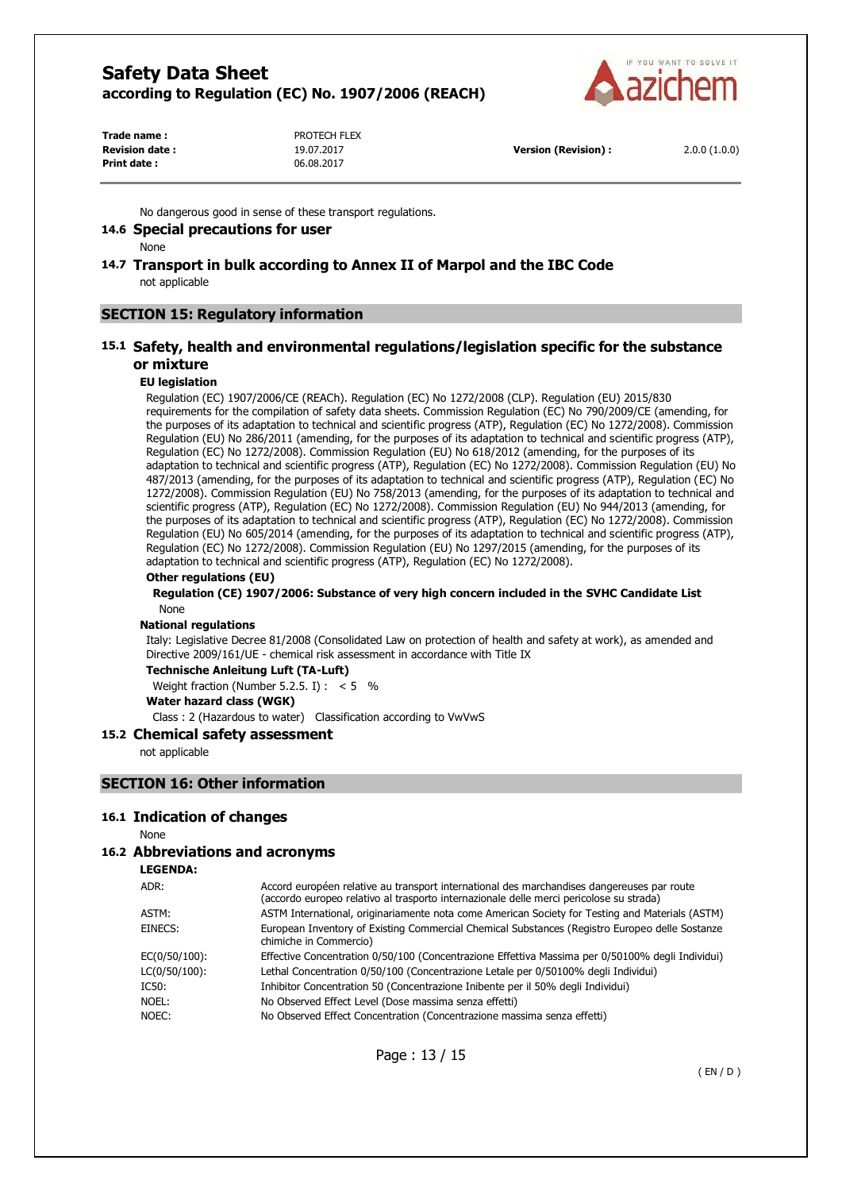

**Trade name :** PROTECH FLEX **Revision date :** 19.07.2017 **Version (Revision) :** 2.0.0 (1.0.0) **Print date :** 06.08.2017

No dangerous good in sense of these transport regulations.

#### **14.6 Special precautions for user**

None

#### **14.7 Transport in bulk according to Annex II of Marpol and the IBC Code**  not applicable

#### **SECTION 15: Regulatory information**

#### **15.1 Safety, health and environmental regulations/legislation specific for the substance or mixture**

#### **EU legislation**

Regulation (EC) 1907/2006/CE (REACh). Regulation (EC) No 1272/2008 (CLP). Regulation (EU) 2015/830 requirements for the compilation of safety data sheets. Commission Regulation (EC) No 790/2009/CE (amending, for the purposes of its adaptation to technical and scientific progress (ATP), Regulation (EC) No 1272/2008). Commission Regulation (EU) No 286/2011 (amending, for the purposes of its adaptation to technical and scientific progress (ATP), Regulation (EC) No 1272/2008). Commission Regulation (EU) No 618/2012 (amending, for the purposes of its adaptation to technical and scientific progress (ATP), Regulation (EC) No 1272/2008). Commission Regulation (EU) No 487/2013 (amending, for the purposes of its adaptation to technical and scientific progress (ATP), Regulation (EC) No 1272/2008). Commission Regulation (EU) No 758/2013 (amending, for the purposes of its adaptation to technical and scientific progress (ATP), Regulation (EC) No 1272/2008). Commission Regulation (EU) No 944/2013 (amending, for the purposes of its adaptation to technical and scientific progress (ATP), Regulation (EC) No 1272/2008). Commission Regulation (EU) No 605/2014 (amending, for the purposes of its adaptation to technical and scientific progress (ATP), Regulation (EC) No 1272/2008). Commission Regulation (EU) No 1297/2015 (amending, for the purposes of its adaptation to technical and scientific progress (ATP), Regulation (EC) No 1272/2008).

#### **Other regulations (EU)**

#### **Regulation (CE) 1907/2006: Substance of very high concern included in the SVHC Candidate List**  None

#### **National regulations**

Italy: Legislative Decree 81/2008 (Consolidated Law on protection of health and safety at work), as amended and Directive 2009/161/UE - chemical risk assessment in accordance with Title IX

#### **Technische Anleitung Luft (TA-Luft)**

Weight fraction (Number 5.2.5. I) :  $< 5$  %

**Water hazard class (WGK)** 

Class : 2 (Hazardous to water) Classification according to VwVwS

#### **15.2 Chemical safety assessment**

not applicable

#### **SECTION 16: Other information**

#### **16.1 Indication of changes**

None

#### **16.2 Abbreviations and acronyms**

**LEGENDA:**

| ADR:             | Accord européen relative au transport international des marchandises dangereuses par route<br>(accordo europeo relativo al trasporto internazionale delle merci pericolose su strada) |
|------------------|---------------------------------------------------------------------------------------------------------------------------------------------------------------------------------------|
| ASTM:            | ASTM International, originariamente nota come American Society for Testing and Materials (ASTM)                                                                                       |
| EINECS:          | European Inventory of Existing Commercial Chemical Substances (Registro Europeo delle Sostanze<br>chimiche in Commercio)                                                              |
| $EC(0/50/100)$ : | Effective Concentration 0/50/100 (Concentrazione Effettiva Massima per 0/50100% degli Individui)                                                                                      |
| $LC(0/50/100)$ : | Lethal Concentration 0/50/100 (Concentrazione Letale per 0/50100% degli Individui)                                                                                                    |
| IC50:            | Inhibitor Concentration 50 (Concentrazione Inibente per il 50% degli Individui)                                                                                                       |
| NOEL:            | No Observed Effect Level (Dose massima senza effetti)                                                                                                                                 |
| NOEC:            | No Observed Effect Concentration (Concentrazione massima senza effetti)                                                                                                               |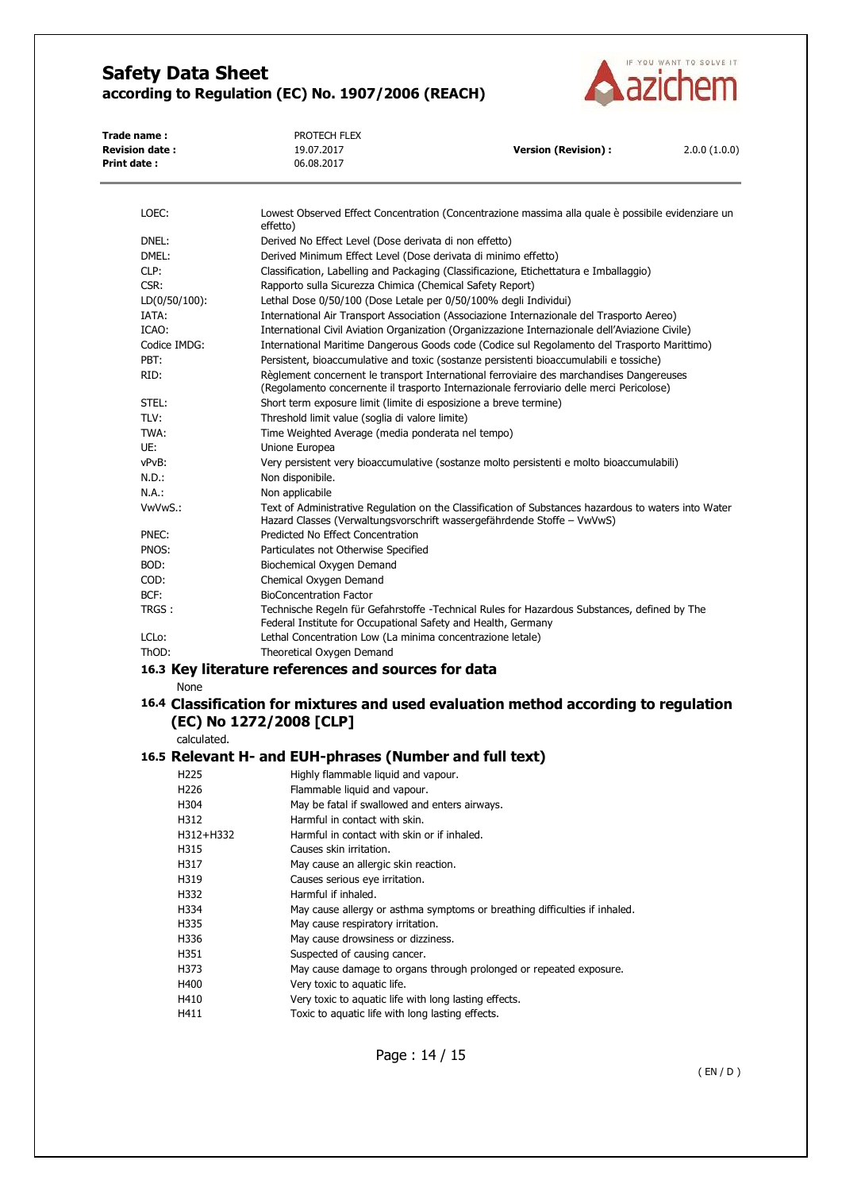

| Trade name:<br><b>Revision date:</b><br>Print date: | PROTECH FLEX<br>19.07.2017<br>06.08.2017                                                                       | <b>Version (Revision):</b> | 2.0.0(1.0.0) |  |
|-----------------------------------------------------|----------------------------------------------------------------------------------------------------------------|----------------------------|--------------|--|
| LOEC:                                               | Lowest Observed Effect Concentration (Concentrazione massima alla quale è possibile evidenziare un<br>effetto) |                            |              |  |
| DNEL:                                               | Derived No Effect Level (Dose derivata di non effetto)                                                         |                            |              |  |
| DMEL:                                               | Derived Minimum Effect Level (Dose derivata di minimo effetto)                                                 |                            |              |  |
| CLP:                                                | Classification, Labelling and Packaging (Classificazione, Etichettatura e Imballaggio)                         |                            |              |  |
| CSR:                                                | Rapporto sulla Sicurezza Chimica (Chemical Safety Report)                                                      |                            |              |  |
| $LD(0/50/100)$ :                                    | Lethal Dose 0/50/100 (Dose Letale per 0/50/100% degli Individui)                                               |                            |              |  |
| IATA:                                               | International Air Transport Association (Associazione Internazionale del Trasporto Aereo)                      |                            |              |  |

ICAO: International Civil Aviation Organization (Organizzazione Internazionale dell'Aviazione Civile) Codice IMDG: International Maritime Dangerous Goods code (Codice sul Regolamento del Trasporto Marittimo) PBT: Persistent, bioaccumulative and toxic (sostanze persistenti bioaccumulabili e tossiche) RID: Règlement concernent le transport International ferroviaire des marchandises Dangereuses (Regolamento concernente il trasporto Internazionale ferroviario delle merci Pericolose) STEL: Short term exposure limit (limite di esposizione a breve termine) TLV: Threshold limit value (soglia di valore limite) TWA: Time Weighted Average (media ponderata nel tempo) UE: Unione Europea vPvB: Very persistent very bioaccumulative (sostanze molto persistenti e molto bioaccumulabili) N.D.: Non disponibile. N.A.: Non applicabile VwVwS.: Text of Administrative Regulation on the Classification of Substances hazardous to waters into Water Hazard Classes (Verwaltungsvorschrift wassergefährdende Stoffe – VwVwS) PNEC: Predicted No Effect Concentration PNOS: Particulates not Otherwise Specified BOD: Biochemical Oxygen Demand COD: Chemical Oxygen Demand BCF: BioConcentration Factor TRGS : Technische Regeln für Gefahrstoffe -Technical Rules for Hazardous Substances, defined by The Federal Institute for Occupational Safety and Health, Germany LCLo: Lethal Concentration Low (La minima concentrazione letale)

#### ThOD: Theoretical Oxygen Demand

### **16.3 Key literature references and sources for data**

None

### **16.4 Classification for mixtures and used evaluation method according to regulation (EC) No 1272/2008 [CLP]**

calculated.

### **16.5 Relevant H- and EUH-phrases (Number and full text)**

| H225      | Highly flammable liquid and vapour.                                        |
|-----------|----------------------------------------------------------------------------|
| H226      | Flammable liquid and vapour.                                               |
| H304      | May be fatal if swallowed and enters airways.                              |
| H312      | Harmful in contact with skin.                                              |
| H312+H332 | Harmful in contact with skin or if inhaled.                                |
| H315      | Causes skin irritation.                                                    |
| H317      | May cause an allergic skin reaction.                                       |
| H319      | Causes serious eye irritation.                                             |
| H332      | Harmful if inhaled.                                                        |
| H334      | May cause allergy or asthma symptoms or breathing difficulties if inhaled. |
| H335      | May cause respiratory irritation.                                          |
| H336      | May cause drowsiness or dizziness.                                         |
| H351      | Suspected of causing cancer.                                               |
| H373      | May cause damage to organs through prolonged or repeated exposure.         |
| H400      | Very toxic to aquatic life.                                                |
| H410      | Very toxic to aquatic life with long lasting effects.                      |
| H411      | Toxic to aquatic life with long lasting effects.                           |